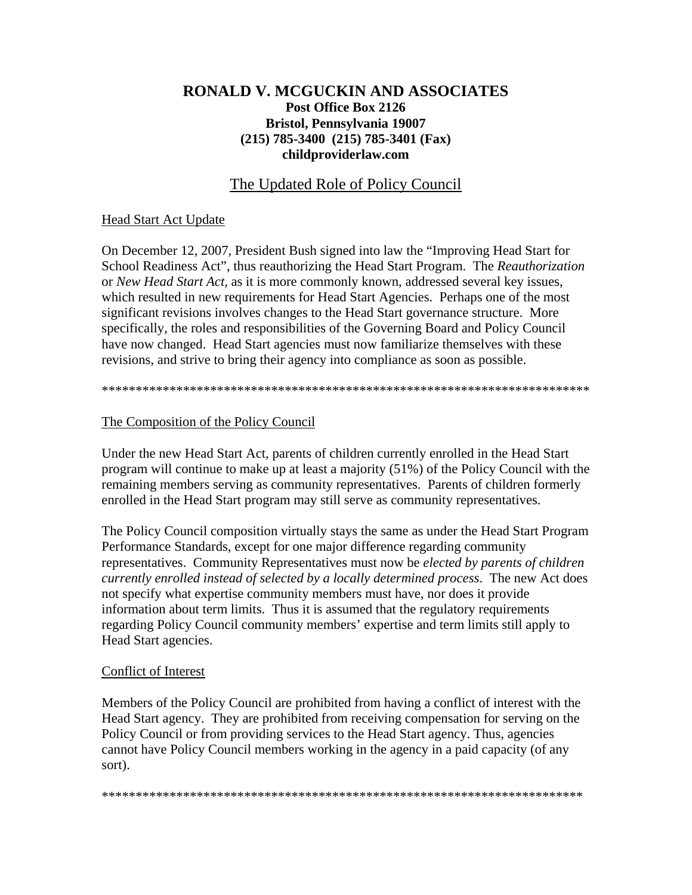## **RONALD V. MCGUCKIN AND ASSOCIATES Post Office Box 2126 Bristol, Pennsylvania 19007 (215) 785-3400 (215) 785-3401 (Fax) childproviderlaw.com**

# The Updated Role of Policy Council

### Head Start Act Update

On December 12, 2007, President Bush signed into law the "Improving Head Start for School Readiness Act", thus reauthorizing the Head Start Program. The *Reauthorization* or *New Head Start Act,* as it is more commonly known, addressed several key issues, which resulted in new requirements for Head Start Agencies. Perhaps one of the most significant revisions involves changes to the Head Start governance structure. More specifically, the roles and responsibilities of the Governing Board and Policy Council have now changed. Head Start agencies must now familiarize themselves with these revisions, and strive to bring their agency into compliance as soon as possible.

\*\*\*\*\*\*\*\*\*\*\*\*\*\*\*\*\*\*\*\*\*\*\*\*\*\*\*\*\*\*\*\*\*\*\*\*\*\*\*\*\*\*\*\*\*\*\*\*\*\*\*\*\*\*\*\*\*\*\*\*\*\*\*\*\*\*\*\*\*\*\*\*

#### The Composition of the Policy Council

Under the new Head Start Act, parents of children currently enrolled in the Head Start program will continue to make up at least a majority (51%) of the Policy Council with the remaining members serving as community representatives. Parents of children formerly enrolled in the Head Start program may still serve as community representatives.

The Policy Council composition virtually stays the same as under the Head Start Program Performance Standards, except for one major difference regarding community representatives. Community Representatives must now be *elected by parents of children currently enrolled instead of selected by a locally determined process*. The new Act does not specify what expertise community members must have, nor does it provide information about term limits. Thus it is assumed that the regulatory requirements regarding Policy Council community members' expertise and term limits still apply to Head Start agencies.

#### Conflict of Interest

Members of the Policy Council are prohibited from having a conflict of interest with the Head Start agency. They are prohibited from receiving compensation for serving on the Policy Council or from providing services to the Head Start agency. Thus, agencies cannot have Policy Council members working in the agency in a paid capacity (of any sort).

\*\*\*\*\*\*\*\*\*\*\*\*\*\*\*\*\*\*\*\*\*\*\*\*\*\*\*\*\*\*\*\*\*\*\*\*\*\*\*\*\*\*\*\*\*\*\*\*\*\*\*\*\*\*\*\*\*\*\*\*\*\*\*\*\*\*\*\*\*\*\*